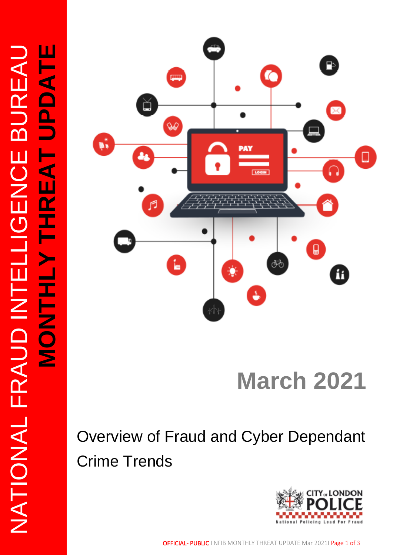

# **March 2021**

## Overview of Fraud and Cyber Dependant Crime Trends

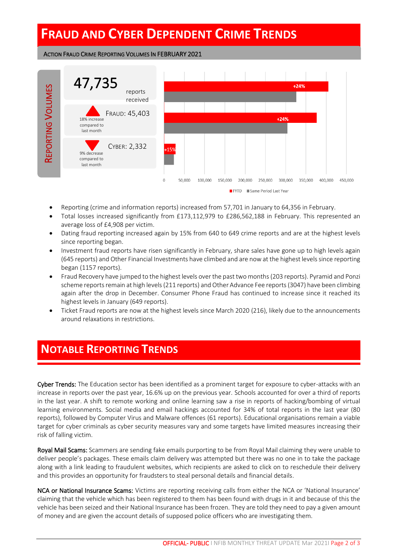### **FRAUD AND CYBER DEPENDENT CRIME TRENDS**

#### ACTION FRAUD CRIME REPORTING VOLUMES IN FEBRUARY 2021



- Reporting (crime and information reports) increased from 57,701 in January to 64,356 in February.
- Total losses increased significantly from £173,112,979 to £286,562,188 in February. This represented an average loss of £4,908 per victim.
- Dating fraud reporting increased again by 15% from 640 to 649 crime reports and are at the highest levels since reporting began.
- Investment fraud reports have risen significantly in February, share sales have gone up to high levels again (645 reports) and Other Financial Investments have climbed and are now at the highest levels since reporting began (1157 reports).
- Fraud Recovery have jumped to the highest levels over the past two months(203 reports). Pyramid and Ponzi scheme reports remain at high levels (211 reports) and Other Advance Fee reports (3047) have been climbing again after the drop in December. Consumer Phone Fraud has continued to increase since it reached its highest levels in January (649 reports).
- Ticket Fraud reports are now at the highest levels since March 2020 (216), likely due to the announcements around relaxations in restrictions.

#### **NOTABLE REPORTING TRENDS**

Cyber Trends: The Education sector has been identified as a prominent target for exposure to cyber-attacks with an increase in reports over the past year, 16.6% up on the previous year. Schools accounted for over a third of reports in the last year. A shift to remote working and online learning saw a rise in reports of hacking/bombing of virtual learning environments. Social media and email hackings accounted for 34% of total reports in the last year (80 reports), followed by Computer Virus and Malware offences (61 reports). Educational organisations remain a viable target for cyber criminals as cyber security measures vary and some targets have limited measures increasing their risk of falling victim.

Royal Mail Scams: Scammers are sending fake emails purporting to be from Royal Mail claiming they were unable to deliver people's packages. These emails claim delivery was attempted but there was no one in to take the package along with a link leading to fraudulent websites, which recipients are asked to click on to reschedule their delivery and this provides an opportunity for fraudsters to steal personal details and financial details.

NCA or National Insurance Scams: Victims are reporting receiving calls from either the NCA or 'National Insurance' claiming that the vehicle which has been registered to them has been found with drugs in it and because of this the vehicle has been seized and their National Insurance has been frozen. They are told they need to pay a given amount of money and are given the account details of supposed police officers who are investigating them.